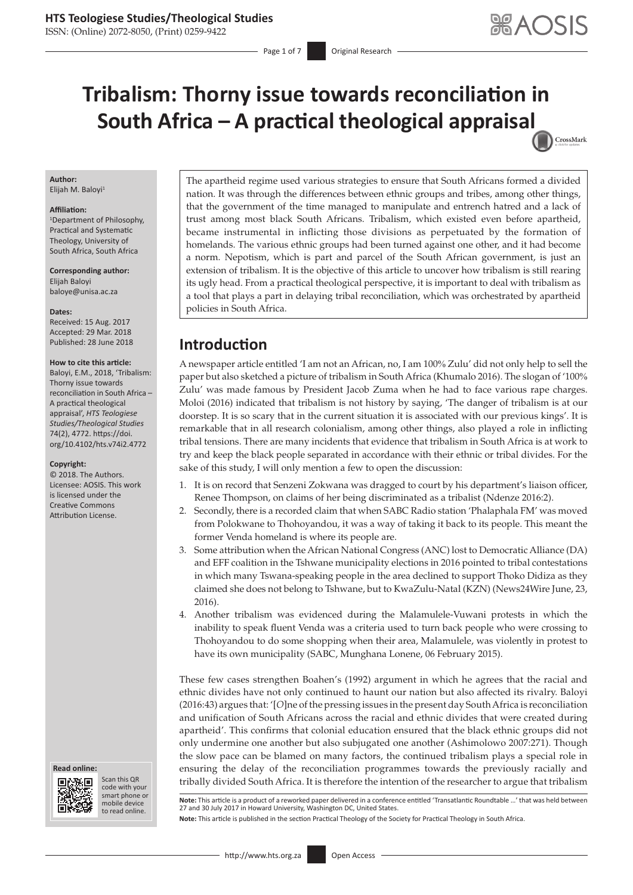ISSN: (Online) 2072-8050, (Print) 0259-9422

# **Tribalism: Thorny issue towards reconciliation in South Africa – A practical theological apprais[al](http://crossmark.crossref.org/dialog/?doi=10.4102/hts.v74i2.4772=pdf&date_stamp=2018-06-28)** CrossMark

### **Author:**

Elijah M. Baloyi<sup>1</sup>

#### **Affiliation:**

1 Department of Philosophy, Practical and Systematic Theology, University of South Africa, South Africa

**Corresponding author:** Elijah Baloyi [baloye@unisa.ac.za](mailto:baloye@unisa.ac.za)

#### **Dates:**

Received: 15 Aug. 2017 Accepted: 29 Mar. 2018 Published: 28 June 2018

#### **How to cite this article:**

Baloyi, E.M., 2018, 'Tribalism: Thorny issue towards reconciliation in South Africa – A practical theological appraisal', *HTS Teologiese Studies/Theological Studies* 74(2), 4772. [https://doi.](https://doi.org/10.4102/hts.v74i2.4772) [org/10.4102/hts.v74i2.4772](https://doi.org/10.4102/hts.v74i2.4772)

#### **Copyright:**

© 2018. The Authors. Licensee: AOSIS. This work is licensed under the Creative Commons Attribution License.





Scan this QR code with your Scan this QR<br>code with your<br>smart phone or<br>mobile device mobile device to read online. to read online.

The apartheid regime used various strategies to ensure that South Africans formed a divided nation. It was through the differences between ethnic groups and tribes, among other things, that the government of the time managed to manipulate and entrench hatred and a lack of trust among most black South Africans. Tribalism, which existed even before apartheid, became instrumental in inflicting those divisions as perpetuated by the formation of homelands. The various ethnic groups had been turned against one other, and it had become a norm. Nepotism, which is part and parcel of the South African government, is just an extension of tribalism. It is the objective of this article to uncover how tribalism is still rearing its ugly head. From a practical theological perspective, it is important to deal with tribalism as a tool that plays a part in delaying tribal reconciliation, which was orchestrated by apartheid policies in South Africa.

## **Introduction**

A newspaper article entitled 'I am not an African, no, I am 100% Zulu' did not only help to sell the paper but also sketched a picture of tribalism in South Africa (Khumalo 2016). The slogan of '100% Zulu' was made famous by President Jacob Zuma when he had to face various rape charges. Moloi (2016) indicated that tribalism is not history by saying, 'The danger of tribalism is at our doorstep. It is so scary that in the current situation it is associated with our previous kings'. It is remarkable that in all research colonialism, among other things, also played a role in inflicting tribal tensions. There are many incidents that evidence that tribalism in South Africa is at work to try and keep the black people separated in accordance with their ethnic or tribal divides. For the sake of this study, I will only mention a few to open the discussion:

- 1. It is on record that Senzeni Zokwana was dragged to court by his department's liaison officer, Renee Thompson, on claims of her being discriminated as a tribalist (Ndenze 2016:2).
- 2. Secondly, there is a recorded claim that when SABC Radio station 'Phalaphala FM' was moved from Polokwane to Thohoyandou, it was a way of taking it back to its people. This meant the former Venda homeland is where its people are.
- 3. Some attribution when the African National Congress (ANC) lost to Democratic Alliance (DA) and EFF coalition in the Tshwane municipality elections in 2016 pointed to tribal contestations in which many Tswana-speaking people in the area declined to support Thoko Didiza as they claimed she does not belong to Tshwane, but to KwaZulu-Natal (KZN) (News24Wire June, 23, 2016).
- 4. Another tribalism was evidenced during the Malamulele-Vuwani protests in which the inability to speak fluent Venda was a criteria used to turn back people who were crossing to Thohoyandou to do some shopping when their area, Malamulele, was violently in protest to have its own municipality (SABC, Munghana Lonene, 06 February 2015).

These few cases strengthen Boahen's (1992) argument in which he agrees that the racial and ethnic divides have not only continued to haunt our nation but also affected its rivalry. Baloyi (2016:43) argues that: '[*O*]ne of the pressing issues in the present day South Africa is reconciliation and unification of South Africans across the racial and ethnic divides that were created during apartheid'. This confirms that colonial education ensured that the black ethnic groups did not only undermine one another but also subjugated one another (Ashimolowo 2007:271). Though the slow pace can be blamed on many factors, the continued tribalism plays a special role in ensuring the delay of the reconciliation programmes towards the previously racially and tribally divided South Africa. It is therefore the intention of the researcher to argue that tribalism

**Note:** This article is published in the section Practical Theology of the Society for Practical Theology in South Africa.

**Note:** This article is a product of a reworked paper delivered in a conference entitled 'Transatlantic Roundtable …' that was held between 27 and 30 July 2017 in Howard University, Washington DC, United States.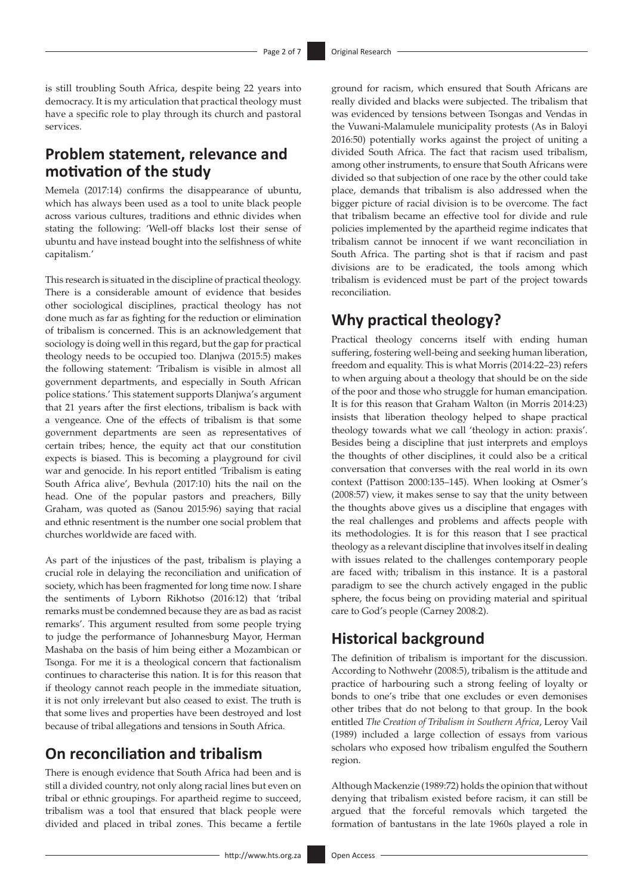is still troubling South Africa, despite being 22 years into democracy. It is my articulation that practical theology must have a specific role to play through its church and pastoral services.

## **Problem statement, relevance and motivation of the study**

Memela (2017:14) confirms the disappearance of ubuntu, which has always been used as a tool to unite black people across various cultures, traditions and ethnic divides when stating the following: 'Well-off blacks lost their sense of ubuntu and have instead bought into the selfishness of white capitalism.'

This research is situated in the discipline of practical theology. There is a considerable amount of evidence that besides other sociological disciplines, practical theology has not done much as far as fighting for the reduction or elimination of tribalism is concerned. This is an acknowledgement that sociology is doing well in this regard, but the gap for practical theology needs to be occupied too. Dlanjwa (2015:5) makes the following statement: 'Tribalism is visible in almost all government departments, and especially in South African police stations.' This statement supports Dlanjwa's argument that 21 years after the first elections, tribalism is back with a vengeance. One of the effects of tribalism is that some government departments are seen as representatives of certain tribes; hence, the equity act that our constitution expects is biased. This is becoming a playground for civil war and genocide. In his report entitled 'Tribalism is eating South Africa alive', Bevhula (2017:10) hits the nail on the head. One of the popular pastors and preachers, Billy Graham, was quoted as (Sanou 2015:96) saying that racial and ethnic resentment is the number one social problem that churches worldwide are faced with.

As part of the injustices of the past, tribalism is playing a crucial role in delaying the reconciliation and unification of society, which has been fragmented for long time now. I share the sentiments of Lyborn Rikhotso (2016:12) that 'tribal remarks must be condemned because they are as bad as racist remarks'. This argument resulted from some people trying to judge the performance of Johannesburg Mayor, Herman Mashaba on the basis of him being either a Mozambican or Tsonga. For me it is a theological concern that factionalism continues to characterise this nation. It is for this reason that if theology cannot reach people in the immediate situation, it is not only irrelevant but also ceased to exist. The truth is that some lives and properties have been destroyed and lost because of tribal allegations and tensions in South Africa.

## **On reconciliation and tribalism**

There is enough evidence that South Africa had been and is still a divided country, not only along racial lines but even on tribal or ethnic groupings. For apartheid regime to succeed, tribalism was a tool that ensured that black people were divided and placed in tribal zones. This became a fertile

ground for racism, which ensured that South Africans are really divided and blacks were subjected. The tribalism that was evidenced by tensions between Tsongas and Vendas in the Vuwani-Malamulele municipality protests (As in Baloyi 2016:50) potentially works against the project of uniting a divided South Africa. The fact that racism used tribalism, among other instruments, to ensure that South Africans were divided so that subjection of one race by the other could take place, demands that tribalism is also addressed when the bigger picture of racial division is to be overcome. The fact that tribalism became an effective tool for divide and rule policies implemented by the apartheid regime indicates that tribalism cannot be innocent if we want reconciliation in South Africa. The parting shot is that if racism and past divisions are to be eradicated, the tools among which tribalism is evidenced must be part of the project towards reconciliation.

## **Why practical theology?**

Practical theology concerns itself with ending human suffering, fostering well-being and seeking human liberation, freedom and equality. This is what Morris (2014:22–23) refers to when arguing about a theology that should be on the side of the poor and those who struggle for human emancipation. It is for this reason that Graham Walton (in Morris 2014:23) insists that liberation theology helped to shape practical theology towards what we call 'theology in action: praxis'. Besides being a discipline that just interprets and employs the thoughts of other disciplines, it could also be a critical conversation that converses with the real world in its own context (Pattison 2000:135–145). When looking at Osmer's (2008:57) view, it makes sense to say that the unity between the thoughts above gives us a discipline that engages with the real challenges and problems and affects people with its methodologies. It is for this reason that I see practical theology as a relevant discipline that involves itself in dealing with issues related to the challenges contemporary people are faced with; tribalism in this instance. It is a pastoral paradigm to see the church actively engaged in the public sphere, the focus being on providing material and spiritual care to God's people (Carney 2008:2).

## **Historical background**

The definition of tribalism is important for the discussion. According to Nothwehr (2008:5), tribalism is the attitude and practice of harbouring such a strong feeling of loyalty or bonds to one's tribe that one excludes or even demonises other tribes that do not belong to that group. In the book entitled *The Creation of Tribalism in Southern Africa*, Leroy Vail (1989) included a large collection of essays from various scholars who exposed how tribalism engulfed the Southern region.

Although Mackenzie (1989:72) holds the opinion that without denying that tribalism existed before racism, it can still be argued that the forceful removals which targeted the formation of bantustans in the late 1960s played a role in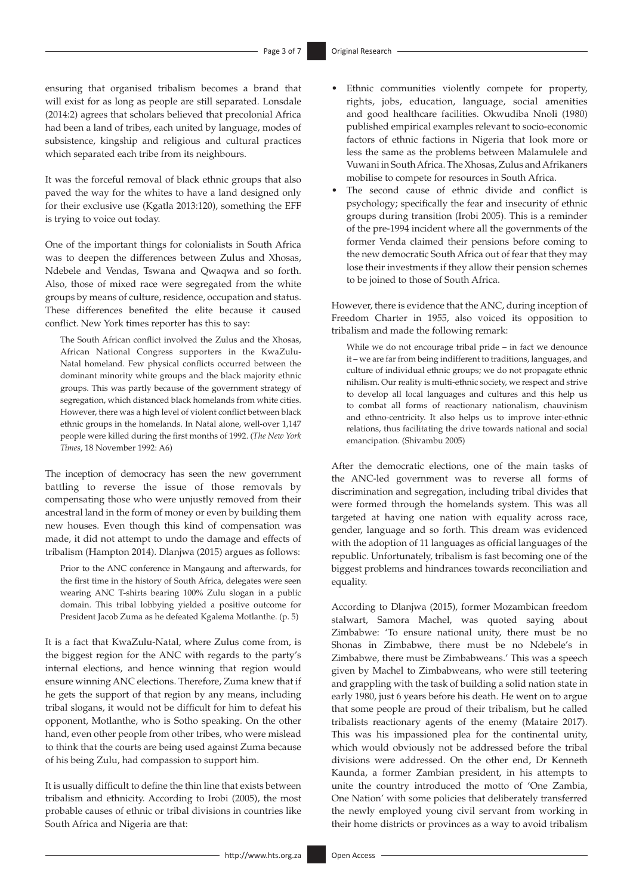ensuring that organised tribalism becomes a brand that will exist for as long as people are still separated. Lonsdale (2014:2) agrees that scholars believed that precolonial Africa had been a land of tribes, each united by language, modes of subsistence, kingship and religious and cultural practices which separated each tribe from its neighbours.

It was the forceful removal of black ethnic groups that also paved the way for the whites to have a land designed only for their exclusive use (Kgatla 2013:120), something the EFF is trying to voice out today.

One of the important things for colonialists in South Africa was to deepen the differences between Zulus and Xhosas, Ndebele and Vendas, Tswana and Qwaqwa and so forth. Also, those of mixed race were segregated from the white groups by means of culture, residence, occupation and status. These differences benefited the elite because it caused conflict. New York times reporter has this to say:

The South African conflict involved the Zulus and the Xhosas, African National Congress supporters in the KwaZulu-Natal homeland. Few physical conflicts occurred between the dominant minority white groups and the black majority ethnic groups. This was partly because of the government strategy of segregation, which distanced black homelands from white cities. However, there was a high level of violent conflict between black ethnic groups in the homelands. In Natal alone, well-over 1,147 people were killed during the first months of 1992. (*The New York Times*, 18 November 1992: A6)

The inception of democracy has seen the new government battling to reverse the issue of those removals by compensating those who were unjustly removed from their ancestral land in the form of money or even by building them new houses. Even though this kind of compensation was made, it did not attempt to undo the damage and effects of tribalism (Hampton 2014). Dlanjwa (2015) argues as follows:

Prior to the ANC conference in Mangaung and afterwards, for the first time in the history of South Africa, delegates were seen wearing ANC T-shirts bearing 100% Zulu slogan in a public domain. This tribal lobbying yielded a positive outcome for President Jacob Zuma as he defeated Kgalema Motlanthe. (p. 5)

It is a fact that KwaZulu-Natal, where Zulus come from, is the biggest region for the ANC with regards to the party's internal elections, and hence winning that region would ensure winning ANC elections. Therefore, Zuma knew that if he gets the support of that region by any means, including tribal slogans, it would not be difficult for him to defeat his opponent, Motlanthe, who is Sotho speaking. On the other hand, even other people from other tribes, who were mislead to think that the courts are being used against Zuma because of his being Zulu, had compassion to support him.

It is usually difficult to define the thin line that exists between tribalism and ethnicity. According to Irobi (2005), the most probable causes of ethnic or tribal divisions in countries like South Africa and Nigeria are that:

- Ethnic communities violently compete for property, rights, jobs, education, language, social amenities and good healthcare facilities. Okwudiba Nnoli (1980) published empirical examples relevant to socio-economic factors of ethnic factions in Nigeria that look more or less the same as the problems between Malamulele and Vuwani in South Africa. The Xhosas, Zulus and Afrikaners mobilise to compete for resources in South Africa.
- The second cause of ethnic divide and conflict is psychology; specifically the fear and insecurity of ethnic groups during transition (Irobi 2005). This is a reminder of the pre-1994 incident where all the governments of the former Venda claimed their pensions before coming to the new democratic South Africa out of fear that they may lose their investments if they allow their pension schemes to be joined to those of South Africa.

However, there is evidence that the ANC, during inception of Freedom Charter in 1955, also voiced its opposition to tribalism and made the following remark:

While we do not encourage tribal pride – in fact we denounce it – we are far from being indifferent to traditions, languages, and culture of individual ethnic groups; we do not propagate ethnic nihilism. Our reality is multi-ethnic society, we respect and strive to develop all local languages and cultures and this help us to combat all forms of reactionary nationalism, chauvinism and ethno-centricity. It also helps us to improve inter-ethnic relations, thus facilitating the drive towards national and social emancipation. (Shivambu 2005)

After the democratic elections, one of the main tasks of the ANC-led government was to reverse all forms of discrimination and segregation, including tribal divides that were formed through the homelands system. This was all targeted at having one nation with equality across race, gender, language and so forth. This dream was evidenced with the adoption of 11 languages as official languages of the republic. Unfortunately, tribalism is fast becoming one of the biggest problems and hindrances towards reconciliation and equality.

According to Dlanjwa (2015), former Mozambican freedom stalwart, Samora Machel, was quoted saying about Zimbabwe: 'To ensure national unity, there must be no Shonas in Zimbabwe, there must be no Ndebele's in Zimbabwe, there must be Zimbabweans.' This was a speech given by Machel to Zimbabweans, who were still teetering and grappling with the task of building a solid nation state in early 1980, just 6 years before his death. He went on to argue that some people are proud of their tribalism, but he called tribalists reactionary agents of the enemy (Mataire 2017). This was his impassioned plea for the continental unity, which would obviously not be addressed before the tribal divisions were addressed. On the other end, Dr Kenneth Kaunda, a former Zambian president, in his attempts to unite the country introduced the motto of 'One Zambia, One Nation' with some policies that deliberately transferred the newly employed young civil servant from working in their home districts or provinces as a way to avoid tribalism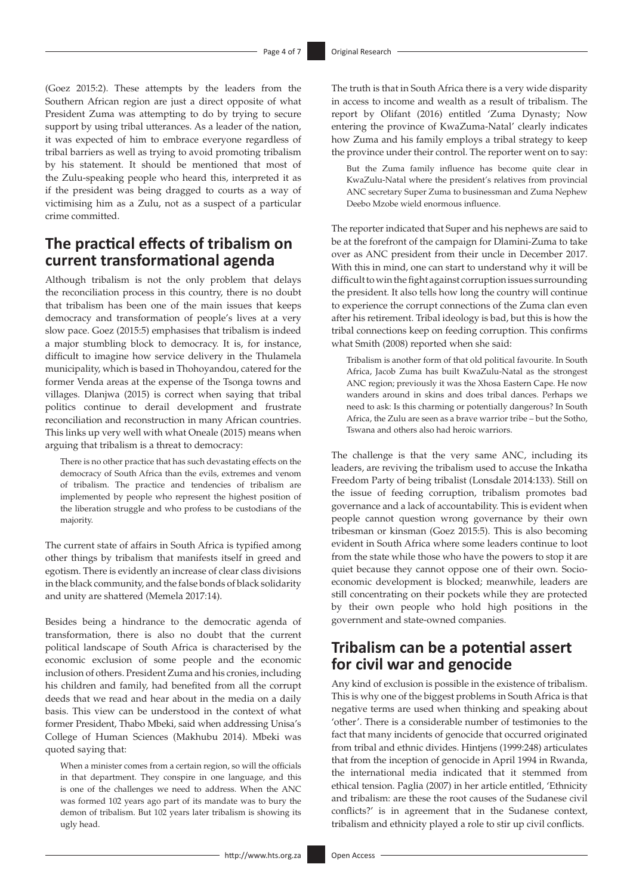(Goez 2015:2). These attempts by the leaders from the Southern African region are just a direct opposite of what President Zuma was attempting to do by trying to secure support by using tribal utterances. As a leader of the nation, it was expected of him to embrace everyone regardless of tribal barriers as well as trying to avoid promoting tribalism by his statement. It should be mentioned that most of the Zulu-speaking people who heard this, interpreted it as if the president was being dragged to courts as a way of victimising him as a Zulu, not as a suspect of a particular crime committed.

## **The practical effects of tribalism on current transformational agenda**

Although tribalism is not the only problem that delays the reconciliation process in this country, there is no doubt that tribalism has been one of the main issues that keeps democracy and transformation of people's lives at a very slow pace. Goez (2015:5) emphasises that tribalism is indeed a major stumbling block to democracy. It is, for instance, difficult to imagine how service delivery in the Thulamela municipality, which is based in Thohoyandou, catered for the former Venda areas at the expense of the Tsonga towns and villages. Dlanjwa (2015) is correct when saying that tribal politics continue to derail development and frustrate reconciliation and reconstruction in many African countries. This links up very well with what Oneale (2015) means when arguing that tribalism is a threat to democracy:

There is no other practice that has such devastating effects on the democracy of South Africa than the evils, extremes and venom of tribalism. The practice and tendencies of tribalism are implemented by people who represent the highest position of the liberation struggle and who profess to be custodians of the majority.

The current state of affairs in South Africa is typified among other things by tribalism that manifests itself in greed and egotism. There is evidently an increase of clear class divisions in the black community, and the false bonds of black solidarity and unity are shattered (Memela 2017:14).

Besides being a hindrance to the democratic agenda of transformation, there is also no doubt that the current political landscape of South Africa is characterised by the economic exclusion of some people and the economic inclusion of others. President Zuma and his cronies, including his children and family, had benefited from all the corrupt deeds that we read and hear about in the media on a daily basis. This view can be understood in the context of what former President, Thabo Mbeki, said when addressing Unisa's College of Human Sciences (Makhubu 2014). Mbeki was quoted saying that:

When a minister comes from a certain region, so will the officials in that department. They conspire in one language, and this is one of the challenges we need to address. When the ANC was formed 102 years ago part of its mandate was to bury the demon of tribalism. But 102 years later tribalism is showing its ugly head.

The truth is that in South Africa there is a very wide disparity in access to income and wealth as a result of tribalism. The report by Olifant (2016) entitled 'Zuma Dynasty; Now entering the province of KwaZuma-Natal' clearly indicates how Zuma and his family employs a tribal strategy to keep the province under their control. The reporter went on to say:

But the Zuma family influence has become quite clear in KwaZulu-Natal where the president's relatives from provincial ANC secretary Super Zuma to businessman and Zuma Nephew Deebo Mzobe wield enormous influence.

The reporter indicated that Super and his nephews are said to be at the forefront of the campaign for Dlamini-Zuma to take over as ANC president from their uncle in December 2017. With this in mind, one can start to understand why it will be difficult to win the fight against corruption issues surrounding the president. It also tells how long the country will continue to experience the corrupt connections of the Zuma clan even after his retirement. Tribal ideology is bad, but this is how the tribal connections keep on feeding corruption. This confirms what Smith (2008) reported when she said:

Tribalism is another form of that old political favourite. In South Africa, Jacob Zuma has built KwaZulu-Natal as the strongest ANC region; previously it was the Xhosa Eastern Cape. He now wanders around in skins and does tribal dances. Perhaps we need to ask: Is this charming or potentially dangerous? In South Africa, the Zulu are seen as a brave warrior tribe – but the Sotho, Tswana and others also had heroic warriors.

The challenge is that the very same ANC, including its leaders, are reviving the tribalism used to accuse the Inkatha Freedom Party of being tribalist (Lonsdale 2014:133). Still on the issue of feeding corruption, tribalism promotes bad governance and a lack of accountability. This is evident when people cannot question wrong governance by their own tribesman or kinsman (Goez 2015:5). This is also becoming evident in South Africa where some leaders continue to loot from the state while those who have the powers to stop it are quiet because they cannot oppose one of their own. Socioeconomic development is blocked; meanwhile, leaders are still concentrating on their pockets while they are protected by their own people who hold high positions in the government and state-owned companies.

## **Tribalism can be a potential assert for civil war and genocide**

Any kind of exclusion is possible in the existence of tribalism. This is why one of the biggest problems in South Africa is that negative terms are used when thinking and speaking about 'other'. There is a considerable number of testimonies to the fact that many incidents of genocide that occurred originated from tribal and ethnic divides. Hintjens (1999:248) articulates that from the inception of genocide in April 1994 in Rwanda, the international media indicated that it stemmed from ethical tension. Paglia (2007) in her article entitled, 'Ethnicity and tribalism: are these the root causes of the Sudanese civil conflicts?' is in agreement that in the Sudanese context, tribalism and ethnicity played a role to stir up civil conflicts.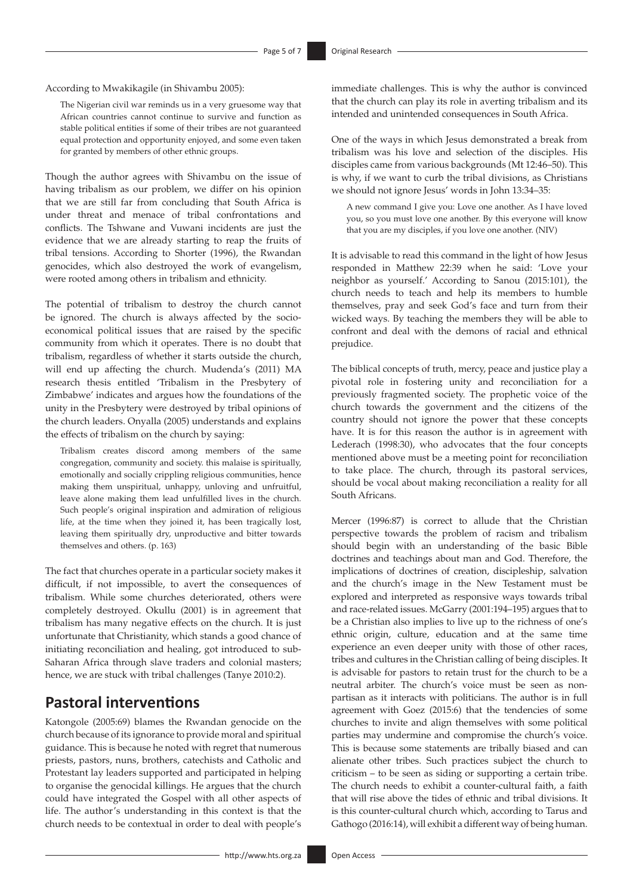According to Mwakikagile (in Shivambu 2005):

The Nigerian civil war reminds us in a very gruesome way that African countries cannot continue to survive and function as stable political entities if some of their tribes are not guaranteed equal protection and opportunity enjoyed, and some even taken for granted by members of other ethnic groups.

Though the author agrees with Shivambu on the issue of having tribalism as our problem, we differ on his opinion that we are still far from concluding that South Africa is under threat and menace of tribal confrontations and conflicts. The Tshwane and Vuwani incidents are just the evidence that we are already starting to reap the fruits of tribal tensions. According to Shorter (1996), the Rwandan genocides, which also destroyed the work of evangelism, were rooted among others in tribalism and ethnicity.

The potential of tribalism to destroy the church cannot be ignored. The church is always affected by the socioeconomical political issues that are raised by the specific community from which it operates. There is no doubt that tribalism, regardless of whether it starts outside the church, will end up affecting the church. Mudenda's (2011) MA research thesis entitled 'Tribalism in the Presbytery of Zimbabwe' indicates and argues how the foundations of the unity in the Presbytery were destroyed by tribal opinions of the church leaders. Onyalla (2005) understands and explains the effects of tribalism on the church by saying:

Tribalism creates discord among members of the same congregation, community and society. this malaise is spiritually, emotionally and socially crippling religious communities, hence making them unspiritual, unhappy, unloving and unfruitful, leave alone making them lead unfulfilled lives in the church. Such people's original inspiration and admiration of religious life, at the time when they joined it, has been tragically lost, leaving them spiritually dry, unproductive and bitter towards themselves and others. (p. 163)

The fact that churches operate in a particular society makes it difficult, if not impossible, to avert the consequences of tribalism. While some churches deteriorated, others were completely destroyed. Okullu (2001) is in agreement that tribalism has many negative effects on the church. It is just unfortunate that Christianity, which stands a good chance of initiating reconciliation and healing, got introduced to sub-Saharan Africa through slave traders and colonial masters; hence, we are stuck with tribal challenges (Tanye 2010:2).

## **Pastoral interventions**

Katongole (2005:69) blames the Rwandan genocide on the church because of its ignorance to provide moral and spiritual guidance. This is because he noted with regret that numerous priests, pastors, nuns, brothers, catechists and Catholic and Protestant lay leaders supported and participated in helping to organise the genocidal killings. He argues that the church could have integrated the Gospel with all other aspects of life. The author's understanding in this context is that the church needs to be contextual in order to deal with people's

immediate challenges. This is why the author is convinced that the church can play its role in averting tribalism and its intended and unintended consequences in South Africa.

One of the ways in which Jesus demonstrated a break from tribalism was his love and selection of the disciples. His disciples came from various backgrounds (Mt 12:46–50). This is why, if we want to curb the tribal divisions, as Christians we should not ignore Jesus' words in John 13:34–35:

A new command I give you: Love one another. As I have loved you, so you must love one another. By this everyone will know that you are my disciples, if you love one another. (NIV)

It is advisable to read this command in the light of how Jesus responded in Matthew 22:39 when he said: 'Love your neighbor as yourself.' According to Sanou (2015:101), the church needs to teach and help its members to humble themselves, pray and seek God's face and turn from their wicked ways. By teaching the members they will be able to confront and deal with the demons of racial and ethnical prejudice.

The biblical concepts of truth, mercy, peace and justice play a pivotal role in fostering unity and reconciliation for a previously fragmented society. The prophetic voice of the church towards the government and the citizens of the country should not ignore the power that these concepts have. It is for this reason the author is in agreement with Lederach (1998:30), who advocates that the four concepts mentioned above must be a meeting point for reconciliation to take place. The church, through its pastoral services, should be vocal about making reconciliation a reality for all South Africans.

Mercer (1996:87) is correct to allude that the Christian perspective towards the problem of racism and tribalism should begin with an understanding of the basic Bible doctrines and teachings about man and God. Therefore, the implications of doctrines of creation, discipleship, salvation and the church's image in the New Testament must be explored and interpreted as responsive ways towards tribal and race-related issues. McGarry (2001:194–195) argues that to be a Christian also implies to live up to the richness of one's ethnic origin, culture, education and at the same time experience an even deeper unity with those of other races, tribes and cultures in the Christian calling of being disciples. It is advisable for pastors to retain trust for the church to be a neutral arbiter. The church's voice must be seen as nonpartisan as it interacts with politicians. The author is in full agreement with Goez (2015:6) that the tendencies of some churches to invite and align themselves with some political parties may undermine and compromise the church's voice. This is because some statements are tribally biased and can alienate other tribes. Such practices subject the church to criticism – to be seen as siding or supporting a certain tribe. The church needs to exhibit a counter-cultural faith, a faith that will rise above the tides of ethnic and tribal divisions. It is this counter-cultural church which, according to Tarus and Gathogo (2016:14), will exhibit a different way of being human.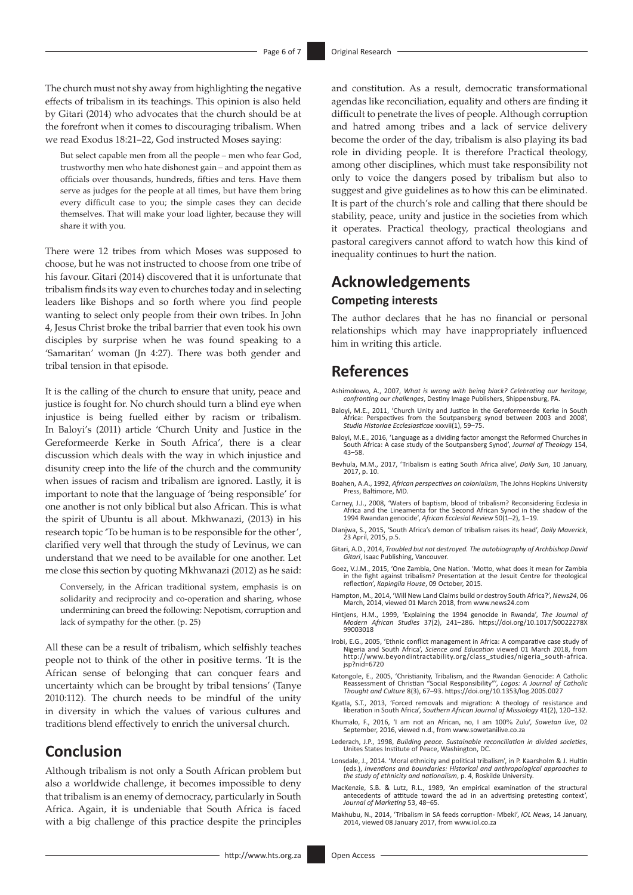The church must not shy away from highlighting the negative effects of tribalism in its teachings. This opinion is also held by Gitari (2014) who advocates that the church should be at the forefront when it comes to discouraging tribalism. When we read Exodus 18:21–22, God instructed Moses saying:

But select capable men from all the people – men who fear God, trustworthy men who hate dishonest gain – and appoint them as officials over thousands, hundreds, fifties and tens. Have them serve as judges for the people at all times, but have them bring every difficult case to you; the simple cases they can decide themselves. That will make your load lighter, because they will share it with you.

There were 12 tribes from which Moses was supposed to choose, but he was not instructed to choose from one tribe of his favour. Gitari (2014) discovered that it is unfortunate that tribalism finds its way even to churches today and in selecting leaders like Bishops and so forth where you find people wanting to select only people from their own tribes. In John 4, Jesus Christ broke the tribal barrier that even took his own disciples by surprise when he was found speaking to a 'Samaritan' woman (Jn 4:27). There was both gender and tribal tension in that episode.

It is the calling of the church to ensure that unity, peace and justice is fought for. No church should turn a blind eye when injustice is being fuelled either by racism or tribalism. In Baloyi's (2011) article 'Church Unity and Justice in the Gereformeerde Kerke in South Africa', there is a clear discussion which deals with the way in which injustice and disunity creep into the life of the church and the community when issues of racism and tribalism are ignored. Lastly, it is important to note that the language of 'being responsible' for one another is not only biblical but also African. This is what the spirit of Ubuntu is all about. Mkhwanazi, (2013) in his research topic 'To be human is to be responsible for the other', clarified very well that through the study of Levinus, we can understand that we need to be available for one another. Let me close this section by quoting Mkhwanazi (2012) as he said:

Conversely, in the African traditional system, emphasis is on solidarity and reciprocity and co-operation and sharing, whose undermining can breed the following: Nepotism, corruption and lack of sympathy for the other. (p. 25)

All these can be a result of tribalism, which selfishly teaches people not to think of the other in positive terms. 'It is the African sense of belonging that can conquer fears and uncertainty which can be brought by tribal tensions' (Tanye 2010:112). The church needs to be mindful of the unity in diversity in which the values of various cultures and traditions blend effectively to enrich the universal church.

### **Conclusion**

Although tribalism is not only a South African problem but also a worldwide challenge, it becomes impossible to deny that tribalism is an enemy of democracy, particularly in South Africa. Again, it is undeniable that South Africa is faced with a big challenge of this practice despite the principles

and constitution. As a result, democratic transformational agendas like reconciliation, equality and others are finding it difficult to penetrate the lives of people. Although corruption and hatred among tribes and a lack of service delivery become the order of the day, tribalism is also playing its bad role in dividing people. It is therefore Practical theology, among other disciplines, which must take responsibility not only to voice the dangers posed by tribalism but also to suggest and give guidelines as to how this can be eliminated. It is part of the church's role and calling that there should be stability, peace, unity and justice in the societies from which it operates. Practical theology, practical theologians and pastoral caregivers cannot afford to watch how this kind of inequality continues to hurt the nation.

### **Acknowledgements Competing interests**

The author declares that he has no financial or personal relationships which may have inappropriately influenced him in writing this article.

### **References**

- Ashimolowo, A., 2007, *What is wrong with being black? Celebrating our heritage, confronting our challenges*, Destiny Image Publishers, Shippensburg, PA.
- Baloyi, M.E., 2011, 'Church Unity and Justice in the Gereformeerde Kerke in South Africa: Perspectives from the Soutpansberg synod between 2003 and 2008', *Studia Historiae Ecclesiasticae* xxxvii(1), 59–75.
- Baloyi, M.E., 2016, 'Language as a dividing factor amongst the Reformed Churches in South Africa: A case study of the Soutpansberg Synod', *Journal of Theology* 154, 43–58.
- Bevhula, M.M., 2017, 'Tribalism is eating South Africa alive', *Daily Sun*, 10 January, 2017, p. 10.
- Boahen, A.A., 1992, *African perspectives on colonialism*, The Johns Hopkins University Press, Baltimore, MD.
- Carney, J.J., 2008, 'Waters of baptism, blood of tribalism? Reconsidering Ecclesia in Africa and the Lineamenta for the Second African Synod in the shadow of the 1994 Rwandan genocide', *African Ecclesial Review* 50(1–2), 1–19.
- Dlanjwa, S., 2015, 'South Africa's demon of tribalism raises its head', *Daily Maverick*, 23 April, 2015, p.5.
- Gitari, A.D., 2014, *Troubled but not destroyed. The autobiography of Archbishop David Gitari*, Isaac Publishing, Vancouver.
- Goez, V.J.M., 2015, 'One Zambia, One Nation. 'Motto, what does it mean for Zambia in the fight against tribalism? Presentation at the Jesuit Centre for theological reflection', *Kapingila House*, 09 October, 2015.
- Hampton, M., 2014, 'Will New Land Claims build or destroy South Africa?', *News24*, 06 March, 2014, viewed 01 March 2018, from <www.news24.com>
- Hintjens, H.M., 1999, 'Explaining the 1994 genocide in Rwanda', *The Journal of Modern African Studies* 37(2), 241–286. [https://doi.org/10.1017/S0022278X](https://doi.org/10.1017/S0022278X99003018) [99003018](https://doi.org/10.1017/S0022278X99003018)
- Irobi, E.G., 2005, 'Ethnic conflict management in Africa: A comparative case study of Nigeria and South Africa', *Science and Education* viewed 01 March 2018, from [http://www.beyondintractability.org/class\\_studies/nigeria\\_south-africa.](http://www.beyondintractability.org/class_studies/nigeria_south-africa.jsp?nid=6720) [jsp?nid=6720](http://www.beyondintractability.org/class_studies/nigeria_south-africa.jsp?nid=6720)
- Katongole, E., 2005, 'Christianity, Tribalism, and the Rwandan Genocide: A Catholic Reassessment of Christian "Social Responsibility"', *Logos: A Journal of Catholic Thought and Culture* 8(3), 67–93. <https://doi.org/10.1353/log.2005.0027>
- Kgatla, S.T., 2013, 'Forced removals and migration: A theology of resistance and liberation in South Africa', *Southern African Journal of Missiology* 41(2), 120–132.
- Khumalo, F., 2016, 'I am not an African, no, I am 100% Zulu', *Sowetan live*, 02 September, 2016, viewed n.d., from<www.sowetanilive.co.za>
- Lederach, J.P., 1998, *Building peace. Sustainable reconciliation in divided societies*, Unites States Institute of Peace, Washington, DC.
- Lonsdale, J., 2014. 'Moral ethnicity and political tribalism', in P. Kaarsholm & J. Hultin (eds.), *Inventions and boundaries: Historical and anthropological approaches to the study of ethnicity and nationalism*, p. 4, Roskilde University.
- MacKenzie, S.B. & Lutz, R.L., 1989, 'An empirical examination of the structural antecedents of attitude toward the ad in an advertising pretesting context', *Journal of Marketing* 53, 48–65.
- Makhubu, N., 2014, 'Tribalism in SA feeds corruption- Mbeki', *IOL News*, 14 January, 2014, viewed 08 January 2017, from <www.iol.co.za>